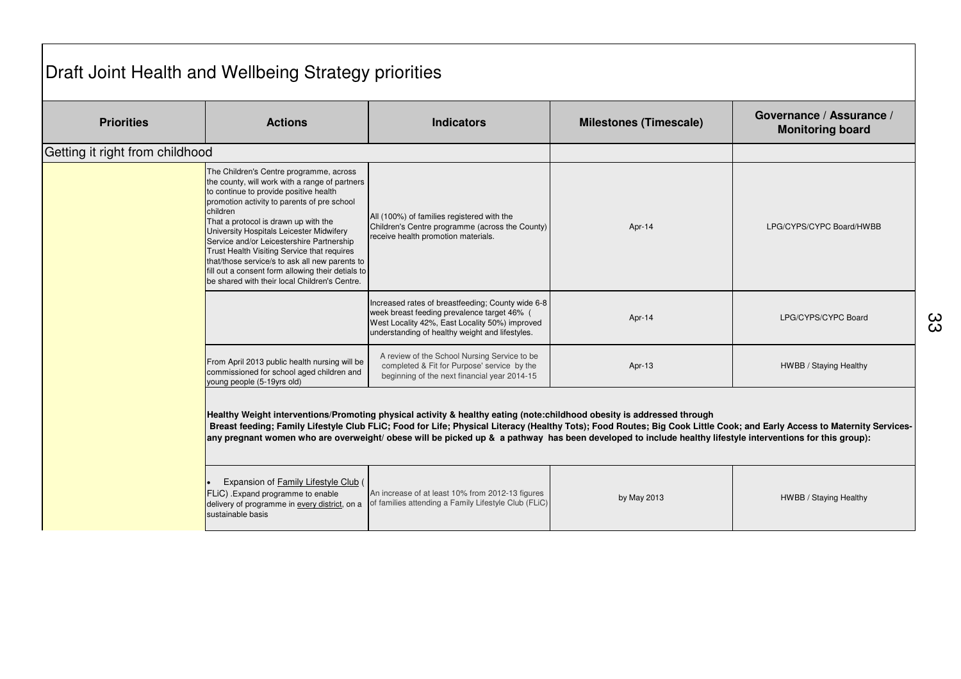## Draft Joint Health and Wellbeing Strategy priorities

| <b>Priorities</b>               | <b>Actions</b>                                                                                                                                                                                                                                                                                                                                                                                                                                                                                                                         | <b>Indicators</b>                                                                                                                                                                                                                                                                                                                                                                                                                                              | <b>Milestones (Timescale)</b> | Governance / Assurance /<br><b>Monitoring board</b> |
|---------------------------------|----------------------------------------------------------------------------------------------------------------------------------------------------------------------------------------------------------------------------------------------------------------------------------------------------------------------------------------------------------------------------------------------------------------------------------------------------------------------------------------------------------------------------------------|----------------------------------------------------------------------------------------------------------------------------------------------------------------------------------------------------------------------------------------------------------------------------------------------------------------------------------------------------------------------------------------------------------------------------------------------------------------|-------------------------------|-----------------------------------------------------|
| Getting it right from childhood |                                                                                                                                                                                                                                                                                                                                                                                                                                                                                                                                        |                                                                                                                                                                                                                                                                                                                                                                                                                                                                |                               |                                                     |
|                                 | The Children's Centre programme, across<br>the county, will work with a range of partners<br>to continue to provide positive health<br>promotion activity to parents of pre school<br>children<br>That a protocol is drawn up with the<br>University Hospitals Leicester Midwifery<br>Service and/or Leicestershire Partnership<br>Trust Health Visiting Service that requires<br>that/those service/s to ask all new parents to<br>fill out a consent form allowing their detials to<br>be shared with their local Children's Centre. | All (100%) of families registered with the<br>Children's Centre programme (across the County)<br>receive health promotion materials.                                                                                                                                                                                                                                                                                                                           | Apr-14                        | LPG/CYPS/CYPC Board/HWBB                            |
|                                 |                                                                                                                                                                                                                                                                                                                                                                                                                                                                                                                                        | Increased rates of breastfeeding; County wide 6-8<br>week breast feeding prevalence target 46% (<br>West Locality 42%, East Locality 50%) improved<br>understanding of healthy weight and lifestyles.                                                                                                                                                                                                                                                          | Apr-14                        | LPG/CYPS/CYPC Board                                 |
|                                 | From April 2013 public health nursing will be<br>commissioned for school aged children and<br>young people (5-19yrs old)                                                                                                                                                                                                                                                                                                                                                                                                               | A review of the School Nursing Service to be<br>completed & Fit for Purpose' service by the<br>beginning of the next financial year 2014-15                                                                                                                                                                                                                                                                                                                    | Apr-13                        | HWBB / Staying Healthy                              |
|                                 |                                                                                                                                                                                                                                                                                                                                                                                                                                                                                                                                        | Healthy Weight interventions/Promoting physical activity & healthy eating (note:childhood obesity is addressed through<br>Breast feeding; Family Lifestyle Club FLiC; Food for Life; Physical Literacy (Healthy Tots); Food Routes; Big Cook Little Cook; and Early Access to Maternity Services-<br>any pregnant women who are overweight/ obese will be picked up & a pathway has been developed to include healthy lifestyle interventions for this group): |                               |                                                     |
|                                 | Expansion of Family Lifestyle Club (<br>FLiC) . Expand programme to enable<br>delivery of programme in every district, on a<br>sustainable basis                                                                                                                                                                                                                                                                                                                                                                                       | An increase of at least 10% from 2012-13 figures<br>of families attending a Family Lifestyle Club (FLiC)                                                                                                                                                                                                                                                                                                                                                       | by May 2013                   | HWBB / Staying Healthy                              |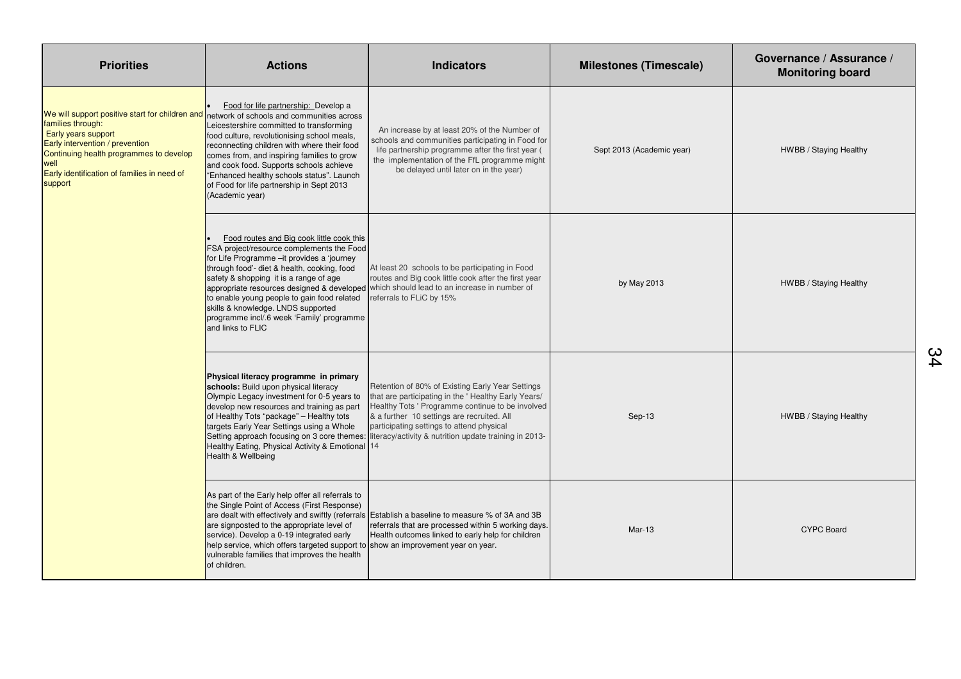| <b>Priorities</b>                                                                                                                                                                                                                                                                     | <b>Actions</b>                                                                                                                                                                                                                                                                                                                                                                       | <b>Indicators</b>                                                                                                                                                                                                                                                                                                                                             | <b>Milestones (Timescale)</b> | Governance / Assurance /<br><b>Monitoring board</b> |
|---------------------------------------------------------------------------------------------------------------------------------------------------------------------------------------------------------------------------------------------------------------------------------------|--------------------------------------------------------------------------------------------------------------------------------------------------------------------------------------------------------------------------------------------------------------------------------------------------------------------------------------------------------------------------------------|---------------------------------------------------------------------------------------------------------------------------------------------------------------------------------------------------------------------------------------------------------------------------------------------------------------------------------------------------------------|-------------------------------|-----------------------------------------------------|
| We will support positive start for children and network of schools and communities across<br>families through:<br>Early years support<br>Early intervention / prevention<br>Continuing health programmes to develop<br>well<br>Early identification of families in need of<br>support | Food for life partnership: Develop a<br>Leicestershire committed to transforming<br>food culture, revolutionising school meals,<br>reconnecting children with where their food<br>comes from, and inspiring families to grow<br>and cook food. Supports schools achieve<br>"Enhanced healthy schools status". Launch<br>of Food for life partnership in Sept 2013<br>(Academic year) | An increase by at least 20% of the Number of<br>schools and communities participating in Food for<br>life partnership programme after the first year (<br>the implementation of the FfL programme might<br>be delayed until later on in the year)                                                                                                             | Sept 2013 (Academic year)     | HWBB / Staying Healthy                              |
|                                                                                                                                                                                                                                                                                       | Food routes and Big cook little cook this<br>FSA project/resource complements the Food<br>for Life Programme -it provides a 'journey<br>through food'- diet & health, cooking, food<br>safety & shopping it is a range of age<br>to enable young people to gain food related<br>skills & knowledge. LNDS supported<br>programme incl/.6 week 'Family' programme<br>and links to FLIC | At least 20 schools to be participating in Food<br>routes and Big cook little cook after the first year<br>appropriate resources designed & developed which should lead to an increase in number of<br>referrals to FLiC by 15%                                                                                                                               | by May 2013                   | HWBB / Staying Healthy                              |
|                                                                                                                                                                                                                                                                                       | Physical literacy programme in primary<br>schools: Build upon physical literacy<br>Olympic Legacy investment for 0-5 years to<br>develop new resources and training as part<br>of Healthy Tots "package" - Healthy tots<br>targets Early Year Settings using a Whole<br>Healthy Eating, Physical Activity & Emotional 14<br>Health & Wellbeing                                       | Retention of 80% of Existing Early Year Settings<br>that are participating in the ' Healthy Early Years/<br>Healthy Tots ' Programme continue to be involved<br>& a further 10 settings are recruited. All<br>participating settings to attend physical<br>Setting approach focusing on 3 core themes: literacy/activity & nutrition update training in 2013- | Sep-13                        | HWBB / Staying Healthy                              |
|                                                                                                                                                                                                                                                                                       | As part of the Early help offer all referrals to<br>the Single Point of Access (First Response)<br>are signposted to the appropriate level of<br>service). Develop a 0-19 integrated early<br>help service, which offers targeted support to show an improvement year on year.<br>vulnerable families that improves the health<br>of children.                                       | are dealt with effectively and swiftly (referrals Establish a baseline to measure % of 3A and 3B<br>referrals that are processed within 5 working days.<br>Health outcomes linked to early help for children                                                                                                                                                  | $Mar-13$                      | <b>CYPC Board</b>                                   |

34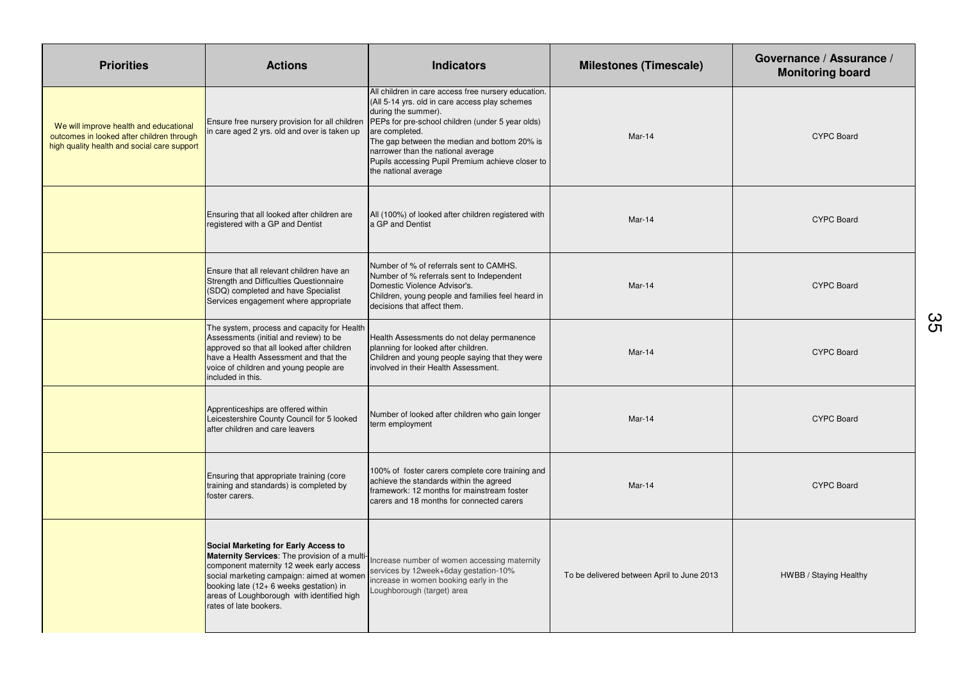| <b>Priorities</b>                                                                                                                  | <b>Actions</b>                                                                                                                                                                                                                                                                                    | <b>Indicators</b>                                                                                                                                                                                                                                                                                                                                                    | <b>Milestones (Timescale)</b>              | Governance / Assurance /<br><b>Monitoring board</b> |
|------------------------------------------------------------------------------------------------------------------------------------|---------------------------------------------------------------------------------------------------------------------------------------------------------------------------------------------------------------------------------------------------------------------------------------------------|----------------------------------------------------------------------------------------------------------------------------------------------------------------------------------------------------------------------------------------------------------------------------------------------------------------------------------------------------------------------|--------------------------------------------|-----------------------------------------------------|
| We will improve health and educational<br>outcomes in looked after children through<br>high quality health and social care support | Ensure free nursery provision for all children<br>n care aged 2 yrs. old and over is taken up                                                                                                                                                                                                     | All children in care access free nursery education.<br>(All 5-14 yrs. old in care access play schemes<br>during the summer).<br>PEPs for pre-school children (under 5 year olds)<br>are completed.<br>The gap between the median and bottom 20% is<br>narrower than the national average<br>Pupils accessing Pupil Premium achieve closer to<br>the national average | Mar-14                                     | <b>CYPC Board</b>                                   |
|                                                                                                                                    | Ensuring that all looked after children are<br>registered with a GP and Dentist                                                                                                                                                                                                                   | All (100%) of looked after children registered with<br>a GP and Dentist                                                                                                                                                                                                                                                                                              | Mar-14                                     | <b>CYPC Board</b>                                   |
|                                                                                                                                    | Ensure that all relevant children have an<br>Strength and Difficulties Questionnaire<br>(SDQ) completed and have Specialist<br>Services engagement where appropriate                                                                                                                              | Number of % of referrals sent to CAMHS.<br>Number of % referrals sent to Independent<br>Domestic Violence Advisor's.<br>Children, young people and families feel heard in<br>decisions that affect them.                                                                                                                                                             | Mar-14                                     | <b>CYPC Board</b>                                   |
|                                                                                                                                    | The system, process and capacity for Health<br>Assessments (initial and review) to be<br>approved so that all looked after children<br>have a Health Assessment and that the<br>voice of children and young people are<br>included in this.                                                       | Health Assessments do not delay permanence<br>planning for looked after children.<br>Children and young people saying that they were<br>involved in their Health Assessment.                                                                                                                                                                                         | Mar-14                                     | <b>CYPC Board</b>                                   |
|                                                                                                                                    | Apprenticeships are offered within<br>Leicestershire County Council for 5 looked<br>after children and care leavers                                                                                                                                                                               | Number of looked after children who gain longer<br>term employment                                                                                                                                                                                                                                                                                                   | Mar-14                                     | <b>CYPC Board</b>                                   |
|                                                                                                                                    | Ensuring that appropriate training (core<br>training and standards) is completed by<br>foster carers.                                                                                                                                                                                             | 100% of foster carers complete core training and<br>achieve the standards within the agreed<br>framework: 12 months for mainstream foster<br>carers and 18 months for connected carers                                                                                                                                                                               | Mar-14                                     | <b>CYPC Board</b>                                   |
|                                                                                                                                    | Social Marketing for Early Access to<br>Maternity Services: The provision of a multi-<br>component maternity 12 week early access<br>social marketing campaign: aimed at women<br>booking late (12+ 6 weeks gestation) in<br>areas of Loughborough with identified high<br>rates of late bookers. | Increase number of women accessing maternity<br>services by 12week+6day gestation-10%<br>increase in women booking early in the<br>Loughborough (target) area                                                                                                                                                                                                        | To be delivered between April to June 2013 | HWBB / Staying Healthy                              |

35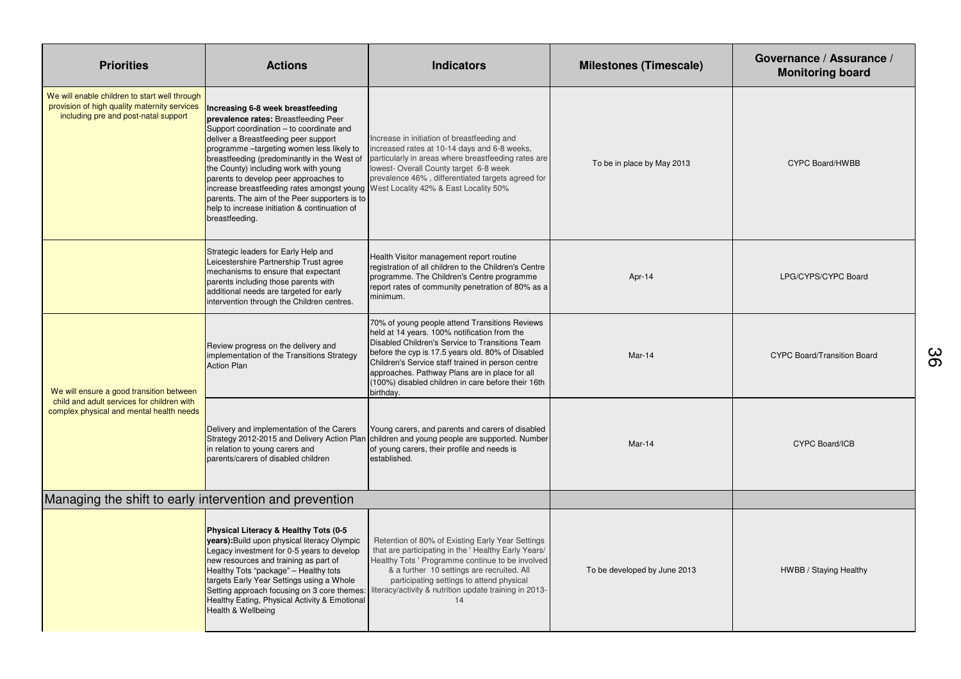| <b>Priorities</b>                                                                                                                     | <b>Actions</b>                                                                                                                                                                                                                                                                                                                                                                                                                                                                                                                                      | <b>Indicators</b>                                                                                                                                                                                                                                                                                                                                                                | <b>Milestones (Timescale)</b> | Governance / Assurance /<br><b>Monitoring board</b> |
|---------------------------------------------------------------------------------------------------------------------------------------|-----------------------------------------------------------------------------------------------------------------------------------------------------------------------------------------------------------------------------------------------------------------------------------------------------------------------------------------------------------------------------------------------------------------------------------------------------------------------------------------------------------------------------------------------------|----------------------------------------------------------------------------------------------------------------------------------------------------------------------------------------------------------------------------------------------------------------------------------------------------------------------------------------------------------------------------------|-------------------------------|-----------------------------------------------------|
| We will enable children to start well through<br>provision of high quality maternity services<br>including pre and post-natal support | Increasing 6-8 week breastfeeding<br>prevalence rates: Breastfeeding Peer<br>Support coordination - to coordinate and<br>deliver a Breastfeeding peer support<br>programme -targeting women less likely to<br>breastfeeding (predominantly in the West of<br>the County) including work with young<br>parents to develop peer approaches to<br>increase breastfeeding rates amongst young West Locality 42% & East Locality 50%<br>parents. The aim of the Peer supporters is to<br>help to increase initiation & continuation of<br>breastfeeding. | Increase in initiation of breastfeeding and<br>ncreased rates at 10-14 days and 6-8 weeks,<br>particularly in areas where breastfeeding rates are<br>lowest- Overall County target 6-8 week<br>prevalence 46%, differentiated targets agreed for                                                                                                                                 | To be in place by May 2013    | <b>CYPC Board/HWBB</b>                              |
|                                                                                                                                       | Strategic leaders for Early Help and<br>Leicestershire Partnership Trust agree<br>mechanisms to ensure that expectant<br>parents including those parents with<br>additional needs are targeted for early<br>intervention through the Children centres.                                                                                                                                                                                                                                                                                              | Health Visitor management report routine<br>registration of all children to the Children's Centre<br>programme. The Children's Centre programme<br>report rates of community penetration of 80% as a<br>minimum.                                                                                                                                                                 | Apr-14                        | LPG/CYPS/CYPC Board                                 |
| We will ensure a good transition between<br>child and adult services for children with<br>complex physical and mental health needs    | Review progress on the delivery and<br>implementation of the Transitions Strategy<br><b>Action Plan</b>                                                                                                                                                                                                                                                                                                                                                                                                                                             | 70% of young people attend Transitions Reviews<br>held at 14 years. 100% notification from the<br>Disabled Children's Service to Transitions Team<br>before the cyp is 17.5 years old. 80% of Disabled<br>Children's Service staff trained in person centre<br>approaches. Pathway Plans are in place for all<br>(100%) disabled children in care before their 16th<br>birthday. | $Mar-14$                      | <b>CYPC Board/Transition Board</b>                  |
|                                                                                                                                       | Delivery and implementation of the Carers<br>in relation to young carers and<br>parents/carers of disabled children                                                                                                                                                                                                                                                                                                                                                                                                                                 | Young carers, and parents and carers of disabled<br>Strategy 2012-2015 and Delivery Action Plan children and young people are supported. Number<br>of young carers, their profile and needs is<br>established.                                                                                                                                                                   | Mar-14                        | <b>CYPC Board/ICB</b>                               |
| Managing the shift to early intervention and prevention                                                                               |                                                                                                                                                                                                                                                                                                                                                                                                                                                                                                                                                     |                                                                                                                                                                                                                                                                                                                                                                                  |                               |                                                     |
|                                                                                                                                       | Physical Literacy & Healthy Tots (0-5<br>years): Build upon physical literacy Olympic<br>Legacy investment for 0-5 years to develop<br>new resources and training as part of<br>Healthy Tots "package" - Healthy tots<br>targets Early Year Settings using a Whole<br>Setting approach focusing on 3 core themes:<br>Healthy Eating, Physical Activity & Emotional<br>Health & Wellbeing                                                                                                                                                            | Retention of 80% of Existing Early Year Settings<br>that are participating in the 'Healthy Early Years/<br>Healthy Tots ' Programme continue to be involved<br>& a further 10 settings are recruited. All<br>participating settings to attend physical<br>literacy/activity & nutrition update training in 2013-<br>14                                                           | To be developed by June 2013  | HWBB / Staying Healthy                              |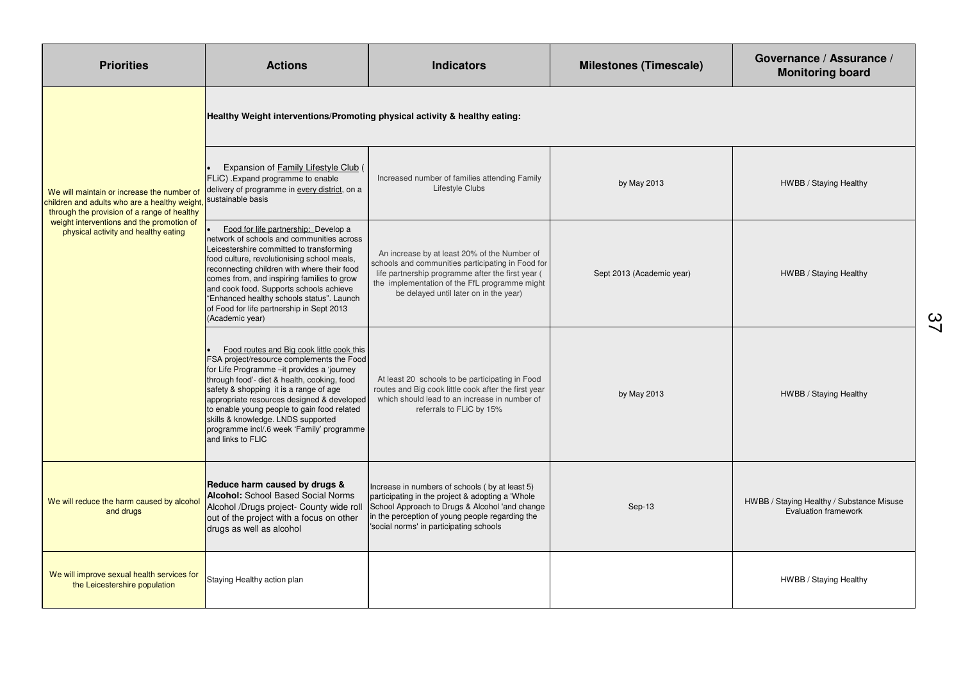| <b>Priorities</b>                                                                                                                                                                                                              | <b>Actions</b>                                                                                                                                                                                                                                                                                                                                                                                                                      | <b>Indicators</b>                                                                                                                                                                                                                                  | <b>Milestones (Timescale)</b> | Governance / Assurance /<br><b>Monitoring board</b>                      |
|--------------------------------------------------------------------------------------------------------------------------------------------------------------------------------------------------------------------------------|-------------------------------------------------------------------------------------------------------------------------------------------------------------------------------------------------------------------------------------------------------------------------------------------------------------------------------------------------------------------------------------------------------------------------------------|----------------------------------------------------------------------------------------------------------------------------------------------------------------------------------------------------------------------------------------------------|-------------------------------|--------------------------------------------------------------------------|
|                                                                                                                                                                                                                                | Healthy Weight interventions/Promoting physical activity & healthy eating:                                                                                                                                                                                                                                                                                                                                                          |                                                                                                                                                                                                                                                    |                               |                                                                          |
| We will maintain or increase the number of<br>children and adults who are a healthy weight<br>through the provision of a range of healthy<br>weight interventions and the promotion of<br>physical activity and healthy eating | Expansion of Family Lifestyle Club (<br>FLiC). Expand programme to enable<br>delivery of programme in every district, on a<br>sustainable basis                                                                                                                                                                                                                                                                                     | Increased number of families attending Family<br>Lifestyle Clubs                                                                                                                                                                                   | by May 2013                   | HWBB / Staying Healthy                                                   |
|                                                                                                                                                                                                                                | Food for life partnership: Develop a<br>network of schools and communities across<br>Leicestershire committed to transforming<br>food culture, revolutionising school meals,<br>econnecting children with where their food<br>comes from, and inspiring families to grow<br>and cook food. Supports schools achieve<br>"Enhanced healthy schools status". Launch<br>of Food for life partnership in Sept 2013<br>(Academic year)    | An increase by at least 20% of the Number of<br>schools and communities participating in Food for<br>life partnership programme after the first year (<br>the implementation of the FfL programme might<br>be delayed until later on in the year)  | Sept 2013 (Academic year)     | HWBB / Staying Healthy                                                   |
|                                                                                                                                                                                                                                | Food routes and Big cook little cook this<br>FSA project/resource complements the Food<br>for Life Programme - it provides a 'journey<br>through food'- diet & health, cooking, food<br>safety & shopping it is a range of age<br>appropriate resources designed & developed<br>to enable young people to gain food related<br>skills & knowledge. LNDS supported<br>programme incl/.6 week 'Family' programme<br>and links to FLIC | At least 20 schools to be participating in Food<br>routes and Big cook little cook after the first year<br>which should lead to an increase in number of<br>referrals to FLiC by 15%                                                               | by May 2013                   | HWBB / Staying Healthy                                                   |
| We will reduce the harm caused by alcohol<br>and drugs                                                                                                                                                                         | Reduce harm caused by drugs &<br><b>Alcohol:</b> School Based Social Norms<br>Alcohol /Drugs project- County wide roll<br>out of the project with a focus on other<br>drugs as well as alcohol                                                                                                                                                                                                                                      | Increase in numbers of schools (by at least 5)<br>participating in the project & adopting a 'Whole<br>School Approach to Drugs & Alcohol 'and change<br>in the perception of young people regarding the<br>'social norms' in participating schools | Sep-13                        | HWBB / Staying Healthy / Substance Misuse<br><b>Evaluation framework</b> |
| We will improve sexual health services for<br>the Leicestershire population                                                                                                                                                    | Staying Healthy action plan                                                                                                                                                                                                                                                                                                                                                                                                         |                                                                                                                                                                                                                                                    |                               | HWBB / Staying Healthy                                                   |

37